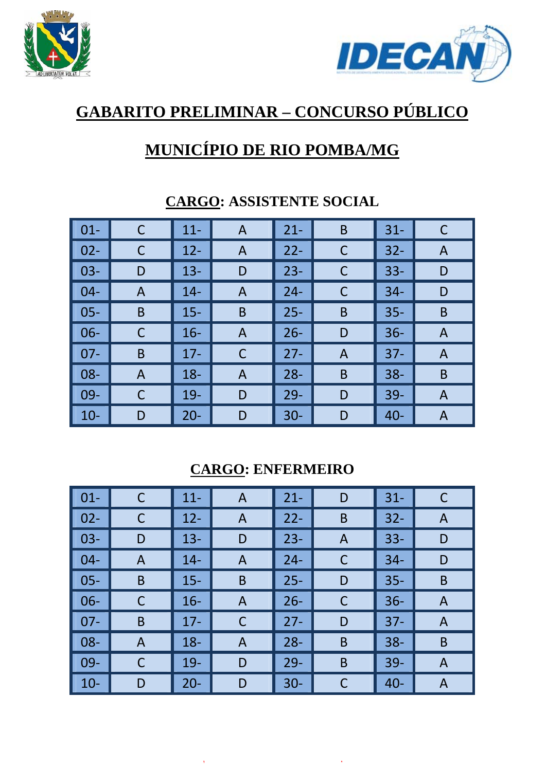



# **GABARITO PRELIMINAR – CONCURSO PÚBLICO**

## **MUNICÍPIO DE RIO POMBA/MG**

| $\vert$ 01- | C | $11 -$ | A           | $21 -$ | B | $31 -$ |   |
|-------------|---|--------|-------------|--------|---|--------|---|
| $02 -$      | C | $12 -$ | A           | $22 -$ | C | $32 -$ | A |
| $03 -$      | D | $13 -$ | D           | $23 -$ | C | $33 -$ | D |
| $04-$       | A | $14 -$ | A           | $24 -$ | C | $34 -$ | D |
| $05 -$      | B | $15 -$ | B           | $25 -$ | B | $35 -$ | B |
| $06 -$      | C | $16 -$ | A           | $26 -$ | D | $36 -$ | A |
| $07 -$      | B | $17 -$ | $\mathsf C$ | $27 -$ | A | $37 -$ | A |
| $08 -$      | A | $18 -$ | A           | $28 -$ | B | $38 -$ | B |
| $09-$       | C | $19-$  | D           | $29 -$ | D | $39 -$ | A |
| $10-$       | D | $20 -$ | D           | $30 -$ | D | $40 -$ | A |

#### **CARGO: ASSISTENTE SOCIAL**

#### **CARGO: ENFERMEIRO**

| $\vert$ 01- | $\mathsf C$ | $11 -$ | A           | $21 -$ | D | $31 -$ | C |
|-------------|-------------|--------|-------------|--------|---|--------|---|
| $02 -$      | C           | $12 -$ | A           | $22 -$ | B | $32 -$ | A |
| $03-$       | D           | $13 -$ | D           | $23 -$ | A | $33 -$ | D |
| $04 -$      | A           | $14-$  | A           | $24 -$ | C | $34 -$ | D |
| $05 -$      | B           | $15 -$ | B           | $25 -$ | D | $35 -$ | B |
| $06 -$      | C           | $16 -$ | A           | $26 -$ | C | $36 -$ | A |
| $07 -$      | B           | $17 -$ | $\mathsf C$ | $27 -$ | D | $37 -$ | A |
| $08 -$      | A           | $18 -$ | A           | $28 -$ | B | $38 -$ | B |
| $09-$       | C           | $19 -$ | D           | $29 -$ | B | $39 -$ | A |
| $10 -$      | D           | $20 -$ | D           | $30 -$ | C | $40 -$ | A |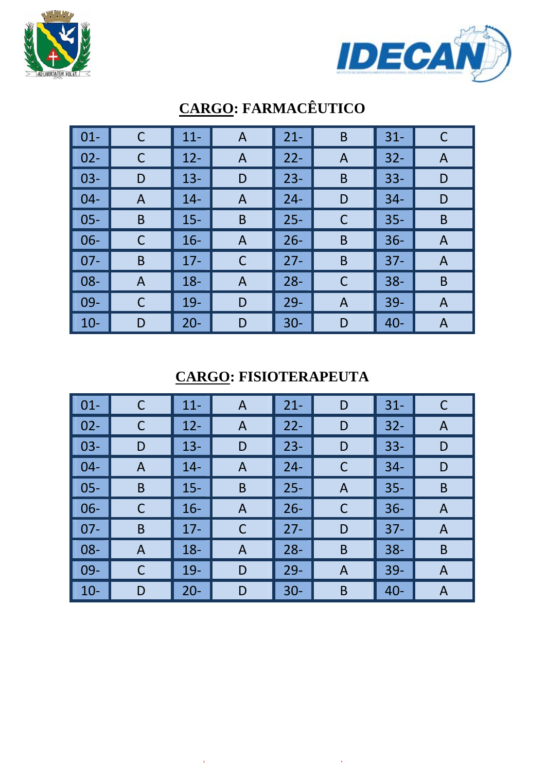



| $\vert$ 01- | $\mathsf C$    | $11 -$ | A              | $21 -$ | B            | $31 -$ | C |
|-------------|----------------|--------|----------------|--------|--------------|--------|---|
| $\vert$ 02- | C              | $12 -$ | A              | $22 -$ | A            | $32 -$ | A |
| $\vert$ 03- | D              | $13 -$ | D              | $23 -$ | B            | $33 -$ | D |
| $  04 -$    | A              | $14-$  | $\overline{A}$ | $24 -$ | D            | $34 -$ | D |
| $\vert$ 05- | B              | $15 -$ | B              | $25 -$ | C            | $35 -$ | B |
| $\vert$ 06- |                | $16 -$ | A              | $26 -$ | B            | $36 -$ | A |
| $\vert$ 07- | B              | $17 -$ | C              | $27 -$ | B            | $37 -$ | A |
| $\vert$ 08- | $\overline{A}$ | $18 -$ | $\overline{A}$ | $28 -$ | C            | $38 -$ | B |
| $\vert$ 09- | C              | $19-$  | D              | $29 -$ | $\mathsf{A}$ | $39 -$ | A |
| $\vert$ 10- | D              | $20 -$ | D              | $30 -$ | D            | $40 -$ | A |

## **CARGO: FARMACÊUTICO**

#### **CARGO: FISIOTERAPEUTA**

| $\vert$ 01-     | C | $11 -$ | A              | $21 -$ | D | $31 -$ | C |
|-----------------|---|--------|----------------|--------|---|--------|---|
| $\vert$ 02-     |   | $12 -$ | A              | $22 -$ | D | $32 -$ | A |
| $\vert$ 03-     | D | $13 -$ | D              | $23 -$ | D | $33 -$ | D |
| $\vert$ 04-     | A | $14 -$ | A              | $24 -$ | C | $34 -$ | D |
| $\vert$ 05-     | B | $15 -$ | B              | $25 -$ | A | $35 -$ | B |
| $\vert$ 06-     |   | $16 -$ | $\overline{A}$ | $26 -$ | C | $36 -$ | A |
| $\parallel$ 07- | B | $17 -$ | C              | $27 -$ | D | $37 -$ | A |
| $\vert$ 08-     | A | $18 -$ | A              | $28 -$ | B | $38 -$ | B |
| $\parallel$ 09- |   | $19 -$ | D              | $29 -$ | A | $39 -$ | A |
| $\vert$ 10-     | D | $20 -$ | D              | $30 -$ | B | $40 -$ | A |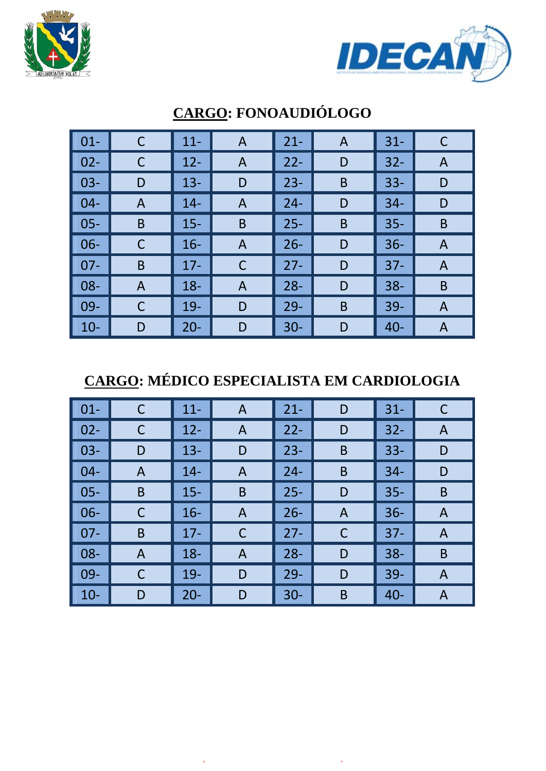



| $\vert$ 01- |   | $11 -$ | A           | $21 -$ | A | $31 -$ | C |
|-------------|---|--------|-------------|--------|---|--------|---|
| $\vert$ 02- | C | $12 -$ | A           | $22 -$ | D | $32 -$ | A |
| $\vert$ 03- | D | $13 -$ | D           | $23 -$ | B | $33 -$ | D |
| $\vert$ 04- | A | $14 -$ | A           | $24 -$ | D | $34 -$ | D |
| $\vert$ 05- | B | $15 -$ | B           | $25 -$ | B | $35 -$ | B |
| $\vert$ 06- | C | $16 -$ | A           | $26 -$ | D | $36 -$ | A |
| $\vert$ 07- | B | $17 -$ | $\mathsf C$ | $27 -$ | D | $37 -$ | A |
| $\vert$ 08- | A | $18 -$ | A           | $28 -$ | D | $38 -$ | B |
| $\vert$ 09- | C | $19-$  | D           | $29 -$ | B | $39-$  | A |
| $\vert$ 10- | D | $20 -$ | D           | $30 -$ | D | $40 -$ | A |

### **CARGO: FONOAUDIÓLOGO**

## **CARGO: MÉDICO ESPECIALISTA EM CARDIOLOGIA**

| $\vert$ 01-     | С | $11 -$ | A              | $21 -$ | D | $31 -$ |   |
|-----------------|---|--------|----------------|--------|---|--------|---|
| $\vert 02 -$    |   | $12 -$ | A              | $22 -$ | D | $32 -$ | A |
| $\vert$ 03-     | D | $13 -$ | D              | $23 -$ | B | $33 -$ | D |
| $\vert$ 04-     | A | $14 -$ | A              | $24 -$ | B | $34 -$ | D |
| $\vert$ 05-     | B | $15 -$ | B              | $25 -$ | D | $35 -$ | B |
| $\vert$ 06-     |   | $16 -$ | $\overline{A}$ | $26 -$ | A | $36 -$ | A |
| $\parallel$ 07- | B | $17 -$ | С              | $27 -$ | C | $37 -$ | A |
| $\vert$ 08-     | A | $18 -$ | A              | $28 -$ | D | $38 -$ | B |
| $\parallel$ 09- |   | $19-$  | D              | $29 -$ | D | $39 -$ | A |
| $\vert$ 10-     | D | $20 -$ | D              | $30 -$ | B | $40 -$ | A |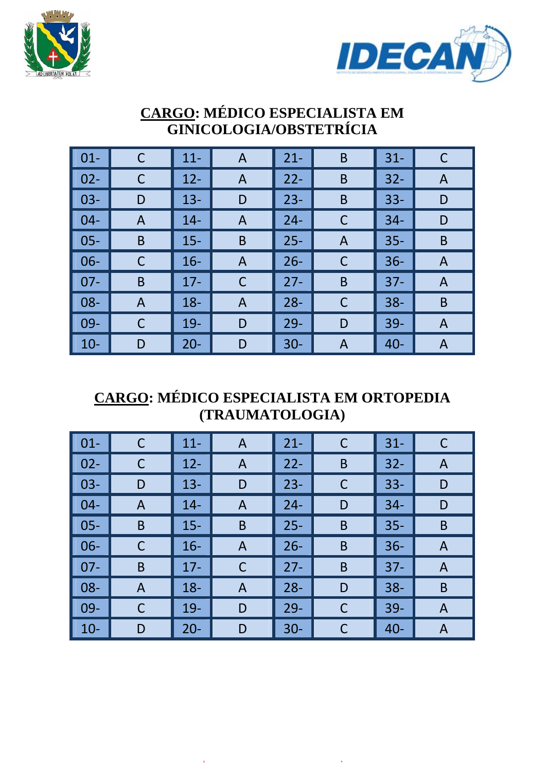



#### **CARGO: MÉDICO ESPECIALISTA EM GINICOLOGIA/OBSTETRÍCIA**

| $01 -$ | C | $11 -$ | A | $21 -$ | B | $31 -$ | C |
|--------|---|--------|---|--------|---|--------|---|
| $02 -$ | C | $12 -$ | A | $22 -$ | B | $32 -$ | A |
| $03 -$ | D | $13 -$ | D | $23 -$ | B | $33 -$ | D |
| $04 -$ | A | $14 -$ | A | $24 -$ | C | $34 -$ | D |
| $05 -$ | B | $15 -$ | B | $25 -$ | A | $35 -$ | B |
| $06 -$ | C | $16 -$ | A | $26 -$ | C | $36 -$ | A |
| $07 -$ | B | $17 -$ | C | $27 -$ | B | $37 -$ | A |
| $08 -$ | A | $18 -$ | A | $28 -$ | C | $38 -$ | B |
| $09-$  | C | $19-$  | D | $29 -$ | D | $39 -$ | A |
| $10-$  | D | $20 -$ | D | $30 -$ | A | $40 -$ | A |

#### **CARGO: MÉDICO ESPECIALISTA EM ORTOPEDIA (TRAUMATOLOGIA)**

| $\vert$ 01-        |   | $11 -$ | A              | $21 -$ | C | $31 -$ | C |
|--------------------|---|--------|----------------|--------|---|--------|---|
| $\vert$ 02-        |   | $12 -$ | A              | $22 -$ | B | $32 -$ | A |
| $\vert$ 03-        | D | $13 -$ | D              | $23 -$ | C | $33 -$ | D |
| $\blacksquare$ 04- | A | $14 -$ | A              | $24 -$ | D | $34 -$ | D |
| $\vert$ 05-        | B | $15 -$ | B              | $25 -$ | B | $35 -$ | B |
| $\vert$ 06-        |   | $16 -$ | $\overline{A}$ | $26 -$ | B | $36 -$ | A |
| $\parallel$ 07-    | B | $17 -$ | С              | $27 -$ | B | $37 -$ | A |
| $\vert$ 08-        | A | $18 -$ | A              | $28 -$ | D | $38 -$ | B |
| $\vert$ 09-        | С | $19-$  | D              | $29 -$ | C | $39 -$ | A |
| $\vert$ 10-        | D | $20 -$ | D              | $30 -$ |   | $40 -$ | A |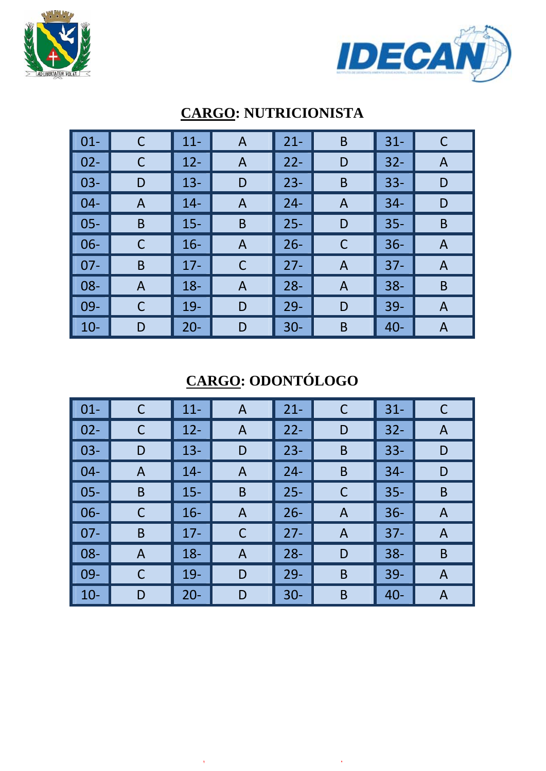



| $\vert$ 01-     |   | $11 -$ | A              | $21 -$ | B              | $31 -$ |   |
|-----------------|---|--------|----------------|--------|----------------|--------|---|
| $\vert$ 02-     | C | $12 -$ | A              | $22 -$ | D              | $32 -$ | A |
| $\vert$ 03-     | D | $13 -$ | D              | $23 -$ | B              | $33 -$ | D |
| $\vert$ 04-     | A | $14 -$ | $\overline{A}$ | $24 -$ | A              | $34 -$ | D |
| $\vert$ 05-     | B | $15 -$ | B              | $25 -$ | D              | $35 -$ | B |
| $\vert$ 06-     |   | $16 -$ | A              | $26 -$ | C              | $36 -$ | A |
| $\parallel$ 07- | B | $17 -$ | $\mathsf C$    | $27 -$ | $\overline{A}$ | $37 -$ | A |
| $\vert$ 08-     | A | $18 -$ | $\overline{A}$ | $28 -$ | A              | $38 -$ | B |
| $\vert$ 09-     | С | $19-$  | D              | $29 -$ | D              | $39-$  | A |
| $\vert$ 10-     | D | $20 -$ | D              | $30 -$ | B              | $40 -$ | A |

### **CARGO: NUTRICIONISTA**

# **CARGO: ODONTÓLOGO**

| $\boxed{01}$ | С | $11 -$ | $\mathsf{A}$   | $21 -$ | C | $31 -$ | C |
|--------------|---|--------|----------------|--------|---|--------|---|
| $\vert$ 02-  | C | $12 -$ | A              | $22 -$ | D | $32 -$ | A |
| $\vert$ 03-  | D | $13 -$ | D              | $23 -$ | B | $33 -$ | D |
| $\vert$ 04-  | A | $14 -$ | A              | $24 -$ | B | $34 -$ | D |
| $\vert$ 05-  | B | $15 -$ | $\mathsf B$    | $25 -$ | C | $35 -$ | B |
| $\vert$ 06-  | C | $16 -$ | $\overline{A}$ | $26 -$ | A | $36 -$ | A |
| $\vert$ 07-  | B | $17 -$ | C              | $27 -$ | A | $37 -$ | A |
| $\vert$ 08-  | A | $18 -$ | $\mathsf{A}$   | $28 -$ | D | $38 -$ | B |
| $\vert$ 09-  | С | $19 -$ | D              | $29 -$ | B | $39 -$ | A |
| $\vert$ 10-  | D | $20 -$ | D              | $30 -$ | B | $40 -$ | A |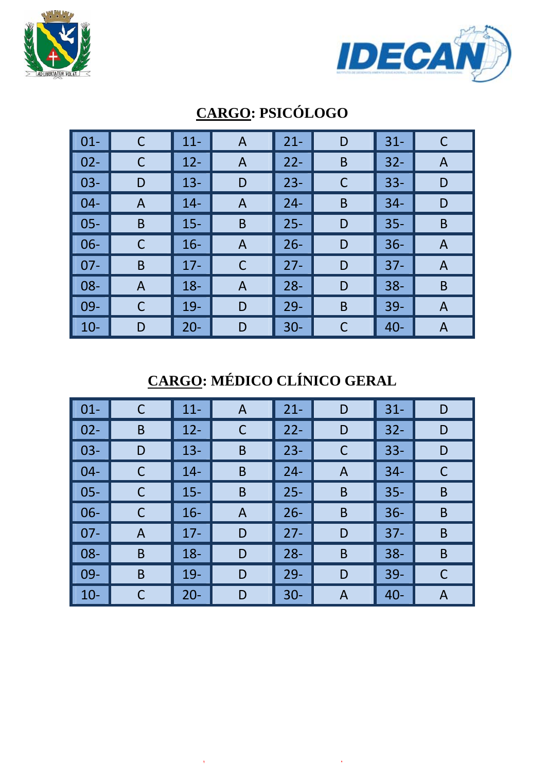



| $01 -$ | C | $11 -$ | $\mathsf{A}$ | $21 -$ | D           | $31 -$ | C |
|--------|---|--------|--------------|--------|-------------|--------|---|
| $02 -$ | C | $12 -$ | A            | $22 -$ | B           | $32 -$ | A |
| $03 -$ | D | $13 -$ | D            | $23 -$ | $\mathsf C$ | $33 -$ | D |
| $04 -$ | A | $14 -$ | A            | $24 -$ | B           | $34 -$ | D |
| $05 -$ | B | $15 -$ | B            | $25 -$ | D           | $35 -$ | B |
| $06 -$ | C | $16 -$ | A            | $26 -$ | D           | $36 -$ | A |
| $07 -$ | B | $17 -$ | $\mathsf C$  | $27 -$ | D           | $37 -$ | A |
| 08-    | A | $18 -$ | A            | $28 -$ | D           | $38 -$ | B |
| $09 -$ | C | $19-$  | D            | $29 -$ | B           | $39-$  | A |
| $10 -$ | D | $20 -$ | D            | $30-$  | C           | $40 -$ | A |

## **CARGO: PSICÓLOGO**

# **CARGO: MÉDICO CLÍNICO GERAL**

| $\vert$ 01-        | С | $11 -$ | A | $21 -$ | D | $31 -$ | D |
|--------------------|---|--------|---|--------|---|--------|---|
| $\vert$ 02-        | B | $12 -$ | C | $22 -$ | D | $32 -$ | D |
| $\vert$ 03-        | D | $13 -$ | B | $23 -$ | C | $33 -$ | D |
| $\vert$ 04-        | С | $14 -$ | B | $24 -$ | A | $34 -$ |   |
| $\vert$ 05-        |   | $15 -$ | B | $25 -$ | B | $35 -$ | B |
| $\vert$ 06-        |   | $16 -$ | A | $26 -$ | B | $36 -$ | B |
| $\blacksquare$ 07- | A | $17 -$ | D | $27 -$ | D | $37 -$ | B |
| $\vert$ 08-        | B | $18 -$ | D | $28 -$ | B | $38 -$ | B |
| $\parallel$ 09-    | B | $19-$  | D | $29 -$ | D | $39 -$ | C |
| $\vert$ 10-        |   | $20 -$ | D | $30 -$ | Α | $40 -$ | A |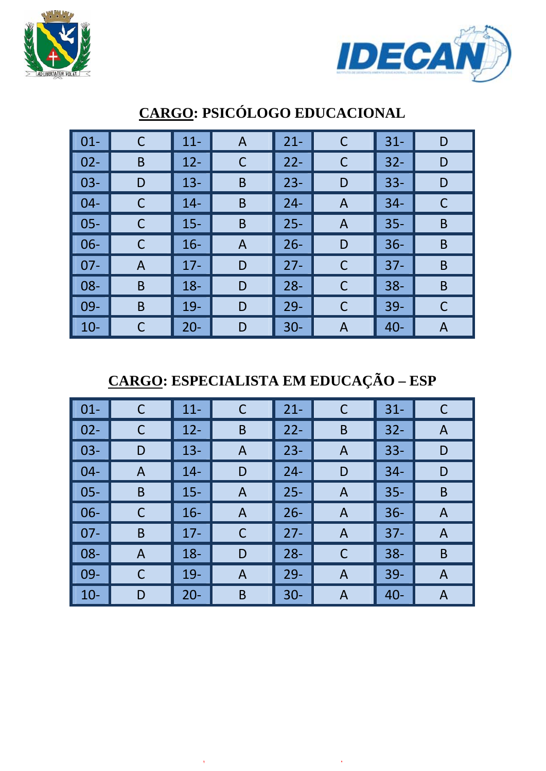



| $\vert$ 01- |   | $11 -$ | $\mathsf{A}$ | $21 -$ | C | $31 -$ | D |
|-------------|---|--------|--------------|--------|---|--------|---|
| $\vert$ 02- | B | $12 -$ | C            | $22 -$ | C | $32 -$ | D |
| $\vert$ 03- | D | $13 -$ | $\mathsf B$  | $23 -$ | D | $33 -$ | D |
| $\vert$ 04- |   | $14 -$ | B            | $24 -$ | A | $34 -$ | C |
| $\vert$ 05- | C | $15 -$ | $\mathsf B$  | $25 -$ | A | $35 -$ | B |
| $\vert$ 06- | C | $16 -$ | A            | $26 -$ | D | $36 -$ | B |
| $\vert$ 07- | A | $17 -$ | D            | $27 -$ | C | $37 -$ | B |
| $\vert$ 08- | B | $18 -$ | D            | $28 -$ | C | $38 -$ | B |
| $\vert$ 09- | B | $19 -$ | D            | $29-$  | C | $39 -$ | C |
| $\vert$ 10- |   | $20 -$ | D            | $30 -$ | A | $40 -$ | A |

### **CARGO: PSICÓLOGO EDUCACIONAL**

**CARGO: ESPECIALISTA EM EDUCAÇÃO – ESP** 

| $\boxed{01}$ | С | $11 -$ | C            | $21 -$ | C              | $31 -$ | C |
|--------------|---|--------|--------------|--------|----------------|--------|---|
| $\vert$ 02-  | C | $12 -$ | B            | $22 -$ | B              | $32 -$ | A |
| $\vert$ 03-  | D | $13 -$ | $\mathsf{A}$ | $23 -$ | A              | $33 -$ | D |
| $\vert$ 04-  | A | $14 -$ | D            | $24 -$ | D              | $34 -$ | D |
| $\vert$ 05-  | B | $15 -$ | A            | $25 -$ | A              | $35 -$ | B |
| $\vert$ 06-  | C | $16 -$ | A            | $26 -$ | A              | $36 -$ | A |
| $\vert$ 07-  | B | $17 -$ | $\mathsf C$  | $27 -$ | A              | $37 -$ | A |
| $\vert$ 08-  | A | $18 -$ | D            | $28 -$ | C              | $38 -$ | B |
| $\vert$ 09-  | C | $19 -$ | A            | $29 -$ | $\overline{A}$ | $39 -$ | A |
| $\vert$ 10-  | D | $20 -$ | B            | $30 -$ | A              | $40 -$ | A |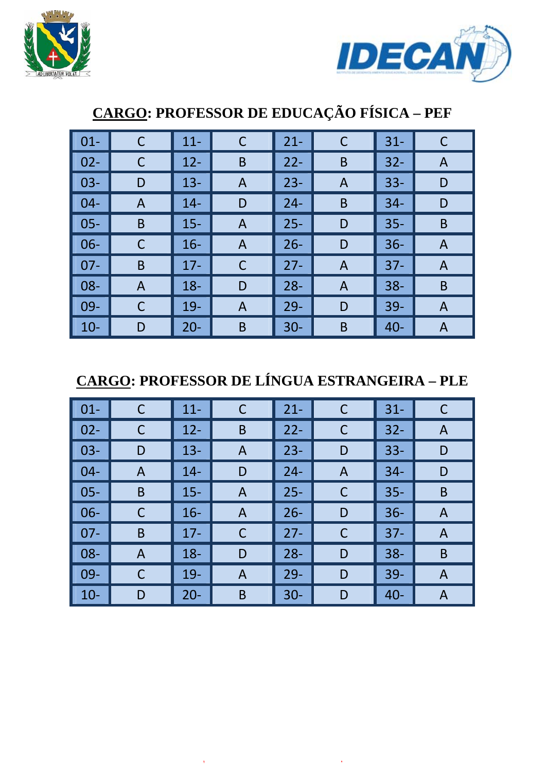



## ‐ C 11‐ C 21‐ C 31‐ C ‐ C 12‐ B 22‐ B 32‐ A 03‐ | D | 13‐ | A | 23‐ | A | 33‐ | D ‐ A 14‐ D 24‐ B 34‐ D 05‐ B | 15‐ | A | 25‐ | D | 35‐ | B ‐ C 16‐ A 26‐ D 36‐ A ‐ B 17‐ C 27‐ A 37‐ A 08‐ | A | 18‐ | D | 28‐ | A | 38‐ | B ‐ C 19‐ A 29‐ D 39‐ A 10‐ | D | 20‐ | B | 30‐ | B | 40‐ | A

# **CARGO: PROFESSOR DE EDUCAÇÃO FÍSICA – PEF**

## **CARGO: PROFESSOR DE LÍNGUA ESTRANGEIRA – PLE**

| $\vert$ 01-     | C | $11 -$ | C            | $21 -$ | C            | $31 -$ | C |
|-----------------|---|--------|--------------|--------|--------------|--------|---|
| $\vert$ 02-     | С | $12 -$ | B            | $22 -$ | $\mathsf{C}$ | $32 -$ | A |
| $\vert$ 03-     | D | $13 -$ | $\mathsf{A}$ | $23 -$ | D            | $33 -$ | D |
| $\parallel$ 04- | A | $14 -$ | D            | $24 -$ | A            | $34 -$ | D |
| $\vert$ 05-     | B | $15 -$ | A            | $25 -$ | $\mathsf{C}$ | $35 -$ | B |
| $\vert$ 06-     | C | $16 -$ | A            | $26 -$ | D            | $36 -$ | A |
| $\vert$ 07-     | B | $17 -$ | C            | $27 -$ | C            | $37 -$ | A |
| $\vert$ 08-     | A | $18 -$ | D            | $28 -$ | D            | $38 -$ | B |
| $\vert$ 09-     | C | $19-$  | A            | $29 -$ | D            | $39 -$ | A |
| $\vert$ 10-     | D | $20 -$ | B            | $30 -$ | D            | $40 -$ | A |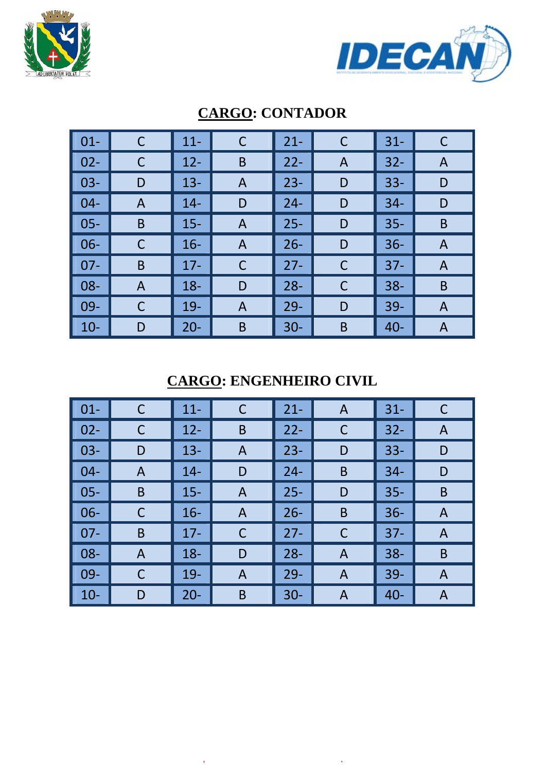



| $01 -$ |   | $11 -$ | C            | $21 -$ | C | $31 -$ |   |
|--------|---|--------|--------------|--------|---|--------|---|
| $02 -$ | С | $12 -$ | B            | $22 -$ | A | $32 -$ | A |
| $03 -$ | D | $13 -$ | A            | $23 -$ | D | $33 -$ | D |
| $04 -$ | A | $14-$  | D            | $24 -$ | D | $34 -$ | D |
| $05 -$ | B | $15 -$ | A            | $25 -$ | D | $35 -$ | B |
| $06 -$ | С | $16 -$ | $\mathsf{A}$ | $26 -$ | D | $36 -$ | A |
| $07 -$ | B | $17 -$ | $\mathsf C$  | $27 -$ | C | $37 -$ | A |
| 08-    | A | $18 -$ | D            | $28 -$ | C | $38 -$ | B |
| $09 -$ | С | $19-$  | A            | $29-$  | D | $39-$  | A |
| $10-$  | D | $20 -$ | B            | $30-$  | B | $40 -$ | A |

### **CARGO: CONTADOR**

### **CARGO: ENGENHEIRO CIVIL**

| $\boxed{01}$ | С | $11 -$ | C            | $21 -$ | A | $31 -$ | C |
|--------------|---|--------|--------------|--------|---|--------|---|
| $\vert$ 02-  | C | $12 -$ | B            | $22 -$ | C | $32 -$ | A |
| $\vert$ 03-  | D | $13 -$ | $\mathsf{A}$ | $23 -$ | D | $33 -$ | D |
| $\vert$ 04-  | A | $14 -$ | D            | $24 -$ | B | $34 -$ | D |
| $\vert$ 05-  | B | $15 -$ | A            | $25 -$ | D | $35 -$ | B |
| $\vert$ 06-  | C | $16 -$ | A            | $26 -$ | B | $36 -$ | A |
| $\vert$ 07-  | B | $17 -$ | C            | $27 -$ | C | $37 -$ | A |
| $\vert$ 08-  | A | $18 -$ | D            | $28 -$ | A | $38 -$ | B |
| $\vert$ 09-  | С | $19 -$ | A            | $29 -$ | A | $39 -$ | A |
| $\vert$ 10-  | D | $20 -$ | B            | $30 -$ | A | $40 -$ | A |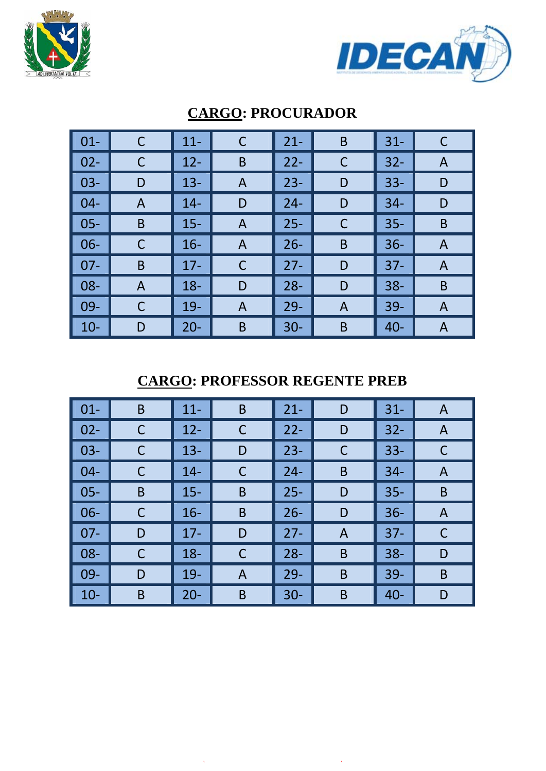



| $\vert$ 01- | $\mathsf C$ | $11 -$ | $\mathsf C$ | $21 -$ | B | $31 -$ | C |
|-------------|-------------|--------|-------------|--------|---|--------|---|
| $\vert$ 02- |             | $12 -$ | B           | $22 -$ | C | $32 -$ | A |
| $\vert$ 03- | D           | $13 -$ | A           | $23 -$ | D | $33 -$ | D |
| $\vert$ 04- | A           | $14 -$ | D           | $24 -$ | D | $34 -$ | D |
| $\vert$ 05- | B           | $15 -$ | A           | $25 -$ | C | $35 -$ | B |
| $\vert$ 06- | C           | $16 -$ | A           | $26 -$ | B | $36 -$ | A |
| $\vert$ 07- | B           | $17 -$ | $\mathsf C$ | $27 -$ | D | $37 -$ | A |
| $\vert$ 08- | A           | $18 -$ | D           | $28 -$ | D | $38 -$ | B |
| $\vert$ 09- | С           | $19-$  | A           | $29-$  | A | $39-$  | A |
| $\vert$ 10- | D           | $20 -$ | B           | $30 -$ | B | $40 -$ | A |

#### **CARGO: PROCURADOR**

### **CARGO: PROFESSOR REGENTE PREB**

| $\vert$ 01- | B | $11 -$ | B | $21 -$ | D | $31 -$ | A |
|-------------|---|--------|---|--------|---|--------|---|
| $\vert$ 02- |   | $12 -$ | C | $22 -$ | D | $32 -$ | A |
| $\vert$ 03- |   | $13 -$ | D | $23 -$ | C | $33 -$ |   |
| $\vert$ 04- |   | $14 -$ | С | $24 -$ | B | $34 -$ | A |
| $\vert$ 05- | B | $15 -$ | B | $25 -$ | D | $35 -$ | B |
| $\vert$ 06- |   | $16 -$ | B | $26 -$ | D | $36 -$ | A |
| $\vert$ 07- | D | $17 -$ | D | $27 -$ | A | $37 -$ |   |
| $\vert$ 08- | С | $18 -$ | C | $28 -$ | B | $38 -$ | D |
| $  09 -$    | D | $19-$  | A | $29 -$ | B | $39 -$ | B |
| $\vert$ 10- | B | $20 -$ | B | $30 -$ | B | $40 -$ | D |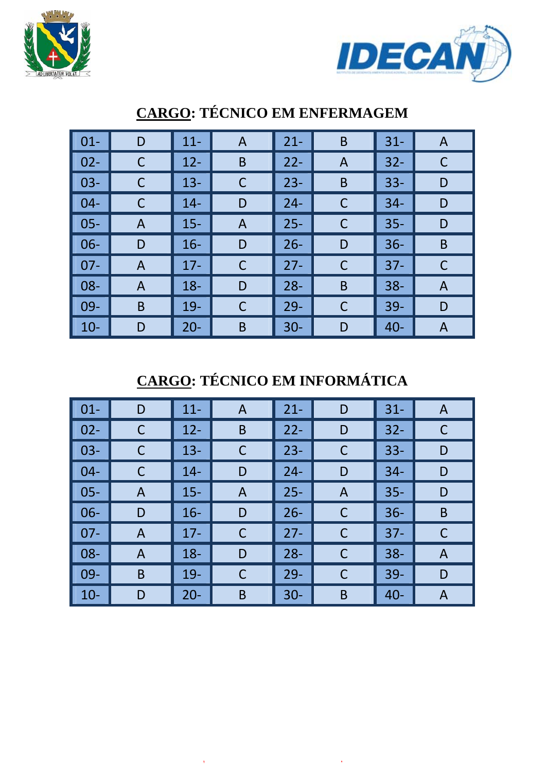



| $\vert$ 01- | D | $11 -$ | $\mathsf{A}$ | $21 -$ | B | $31 -$ | A |
|-------------|---|--------|--------------|--------|---|--------|---|
| $\vert$ 02- | C | $12 -$ | B            | $22 -$ | A | $32 -$ | С |
| $\vert$ 03- | C | $13 -$ | $\mathsf C$  | $23 -$ | B | $33 -$ | D |
| $\vert$ 04- | C | $14 -$ | D            | $24 -$ | C | $34 -$ | D |
| $\vert$ 05- | A | $15 -$ | A            | $25 -$ | C | $35 -$ | D |
| $\vert$ 06- | D | $16 -$ | D            | $26 -$ | D | $36 -$ | B |
| $\vert$ 07- | A | $17 -$ | $\mathsf C$  | $27 -$ | C | $37 -$ |   |
| $\vert$ 08- | A | $18 -$ | D            | $28 -$ | B | $38 -$ | A |
| $\vert$ 09- | B | $19 -$ | $\mathsf C$  | $29 -$ | C | $39 -$ | D |
| $\vert$ 10- | D | $20 -$ | B            | $30 -$ | D | $40 -$ | A |

## **CARGO: TÉCNICO EM ENFERMAGEM**

## **CARGO: TÉCNICO EM INFORMÁTICA**

| $\vert$ 01-     | D              | $11 -$ | A           | $21 -$ | D | $31 -$ | A |
|-----------------|----------------|--------|-------------|--------|---|--------|---|
| $\vert 02 -$    |                | $12 -$ | B           | $22 -$ | D | $32 -$ | С |
| $\vert$ 03-     |                | $13 -$ | $\mathsf C$ | $23 -$ | C | $33 -$ | D |
| $\vert$ 04-     | C              | $14 -$ | D           | $24 -$ | D | $34 -$ | D |
| $\vert$ 05-     | A              | $15 -$ | A           | $25 -$ | A | $35 -$ | D |
| $\vert$ 06-     | D              | $16 -$ | D           | $26 -$ | C | $36 -$ | B |
| $\parallel$ 07- | $\overline{A}$ | $17 -$ | С           | $27 -$ | C | $37 -$ | С |
| $\vert$ 08-     | A              | $18 -$ | D           | $28 -$ | C | $38 -$ | A |
| $\parallel$ 09- | B              | $19-$  | $\mathsf C$ | $29 -$ | C | $39 -$ | D |
| $\vert$ 10-     | D              | $20 -$ | B           | $30 -$ | B | $40 -$ | A |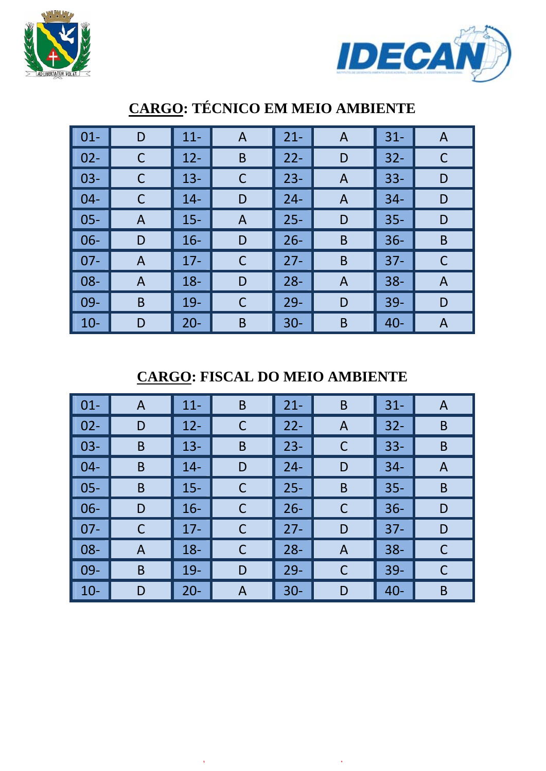



| $01 -$ | D            | $11 -$ | A           | $21 -$ | A              | $31 -$ | A |
|--------|--------------|--------|-------------|--------|----------------|--------|---|
| $02 -$ | C            | $12 -$ | B           | $22 -$ | D              | $32 -$ | C |
| $03 -$ | C            | $13 -$ | C           | $23 -$ | $\overline{A}$ | $33 -$ | D |
| $04 -$ | C            | $14-$  | D           | $24 -$ | $\mathsf{A}$   | $34 -$ | D |
| $05 -$ | A            | $15 -$ | A           | $25 -$ | D              | $35 -$ | D |
| $06 -$ | D            | $16 -$ | D           | $26 -$ | B              | $36 -$ | B |
| $07 -$ | $\mathsf{A}$ | $17 -$ | $\mathsf C$ | $27 -$ | B              | $37 -$ | C |
| $08 -$ | A            | $18 -$ | D           | $28 -$ | $\overline{A}$ | $38 -$ | A |
| 09-    | B            | $19-$  | C           | $29 -$ | D              | $39-$  | D |
| $10 -$ | D            | $20 -$ | B           | $30 -$ | B              | $40 -$ | A |

## **CARGO: TÉCNICO EM MEIO AMBIENTE**

**CARGO: FISCAL DO MEIO AMBIENTE** 

| $\vert$ 01- | A | $11 -$ | B | $21 -$ | B            | $31 -$ | A |
|-------------|---|--------|---|--------|--------------|--------|---|
| $02 -$      | D | $12 -$ | C | $22 -$ | A            | $32 -$ | B |
| $03-$       | B | $13 -$ | B | $23 -$ | C            | $33 -$ | B |
| $04 -$      | B | $14 -$ | D | $24 -$ | D            | $34 -$ | A |
| $05 -$      | B | $15 -$ | C | $25 -$ | B            | $35 -$ | B |
| $06 -$      | D | $16 -$ | C | $26 -$ | C            | $36 -$ | D |
| $07 -$      | С | $17 -$ | С | $27 -$ | D            | $37 -$ | D |
| $08 -$      | A | $18 -$ | C | $28 -$ | $\mathsf{A}$ | $38 -$ | C |
| $09-$       | B | $19-$  | D | $29 -$ | C            | $39 -$ | С |
| $10-$       | D | $20 -$ | A | $30 -$ | D            | $40 -$ | B |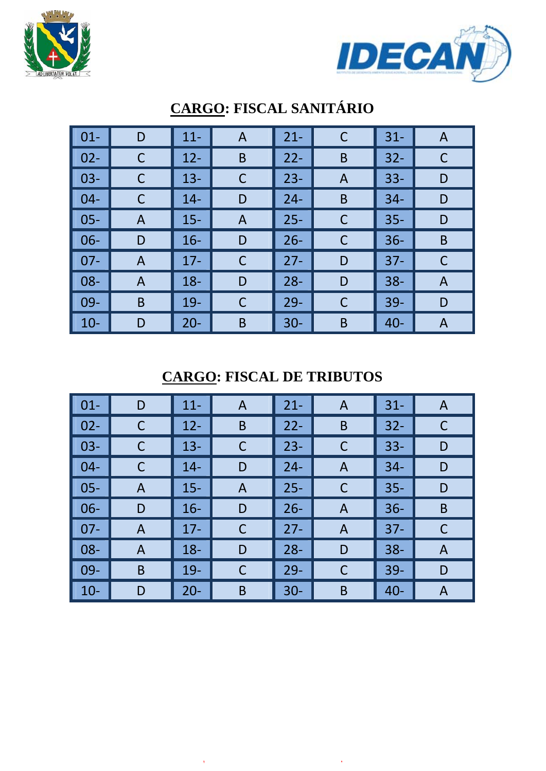



| $\vert$ 01- | D              | $11 -$ | $\mathsf{A}$ | $21 -$ | $\mathsf C$    | $31 -$ | A |
|-------------|----------------|--------|--------------|--------|----------------|--------|---|
| $\vert$ 02- | C              | $12 -$ | B            | $22 -$ | B              | $32 -$ | C |
| $\vert$ 03- | C              | $13 -$ | $\mathsf C$  | $23 -$ | $\overline{A}$ | $33 -$ | D |
| $\vert$ 04- | C              | $14 -$ | D            | $24 -$ | B              | $34 -$ | D |
| $\vert$ 05- | A              | $15 -$ | A            | $25 -$ | C              | $35 -$ | D |
| $\vert$ 06- | D              | $16 -$ | D            | $26 -$ | $\mathsf{C}$   | $36 -$ | B |
| $\vert$ 07- | $\overline{A}$ | $17 -$ | $\mathsf C$  | $27 -$ | D              | $37 -$ | C |
| $\vert$ 08- | A              | $18 -$ | D            | $28 -$ | D              | $38 -$ | A |
| $\vert$ 09- | B              | $19 -$ | $\mathsf C$  | $29 -$ | $\mathsf{C}$   | $39 -$ | D |
| $\vert$ 10- | D              | $20 -$ | B            | $30 -$ | B              | $40 -$ | A |

# **CARGO: FISCAL SANITÁRIO**

**CARGO: FISCAL DE TRIBUTOS** 

| $\vert$ 01-        | D            | $11 -$ | A           | $21 -$ | A              | $31 -$ | A |
|--------------------|--------------|--------|-------------|--------|----------------|--------|---|
| $\parallel$ 02-    | C            | $12 -$ | B           | $22 -$ | B              | $32 -$ | C |
| $  03 -$           | C            | $13 -$ | $\mathsf C$ | $23 -$ | $\mathsf C$    | $33 -$ | D |
| $\vert 04 -$       | C            | $14-$  | D           | $24 -$ | A              | $34 -$ | D |
| $\vert$ 05-        | A            | $15 -$ | A           | $25 -$ | C              | $35 -$ | D |
| $\vert$ 06-        | D            | $16 -$ | D           | $26 -$ | A              | $36 -$ | B |
| $\vert$ 07-        | $\mathsf{A}$ | $17 -$ | $\mathsf C$ | $27 -$ | $\overline{A}$ | $37 -$ | C |
| $\vert$ 08-        | A            | $18 -$ | D           | $28 -$ | D              | $38 -$ | A |
| $\blacksquare$ 09- | B            | $19-$  | C           | $29 -$ | C              | $39 -$ | D |
| $\vert$ 10-        | D            | $20 -$ | B           | $30 -$ | B              | $40 -$ | A |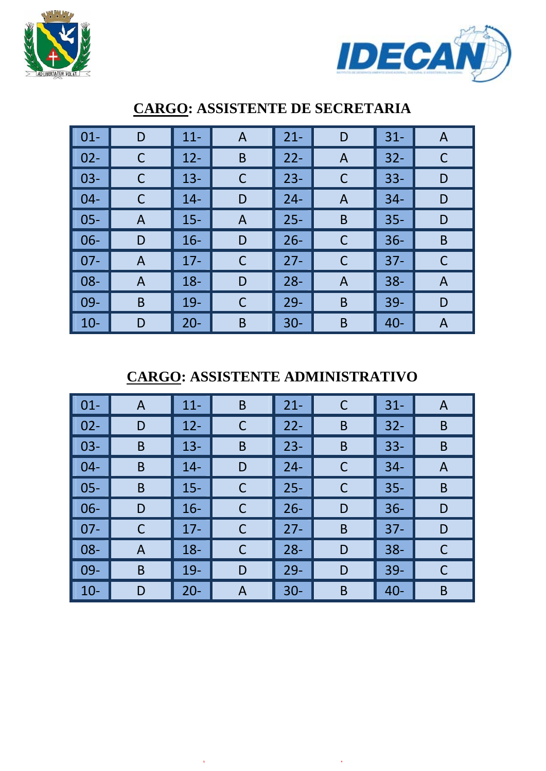



| $01 -$ | D              | $11 -$ | A           | $21 -$ | D           | $31 -$ | A |
|--------|----------------|--------|-------------|--------|-------------|--------|---|
| $02 -$ | C              | $12 -$ | B           | $22 -$ | A           | $32 -$ | С |
| $03 -$ | С              | $13 -$ | $\mathsf C$ | $23 -$ | C           | $33 -$ | D |
| $04 -$ | С              | $14 -$ | D           | $24 -$ | A           | $34 -$ | D |
| $05 -$ | A              | $15 -$ | A           | $25 -$ | B           | $35 -$ | D |
| $06 -$ | D              | $16 -$ | D           | $26 -$ | $\mathsf C$ | $36 -$ | B |
| $07 -$ | $\overline{A}$ | $17 -$ | C           | $27 -$ | $\mathsf C$ | $37 -$ | С |
| 08-    | $\overline{A}$ | $18 -$ | D           | $28 -$ | A           | $38 -$ | A |
| 09-    | B              | $19 -$ | C           | $29 -$ | B           | $39 -$ | D |
| $10 -$ | D              | $20 -$ | B           | $30 -$ | B           | $40 -$ | A |

### **CARGO: ASSISTENTE DE SECRETARIA**

**CARGO: ASSISTENTE ADMINISTRATIVO** 

| $\vert$ 01- | A | $11 -$ | B | $21 -$ | C | $31 -$ | A |
|-------------|---|--------|---|--------|---|--------|---|
| $02 -$      | D | $12 -$ | C | $22 -$ | B | $32 -$ | B |
| $03-$       | B | $13 -$ | B | $23 -$ | B | $33 -$ | B |
| $04 -$      | B | $14 -$ | D | $24 -$ | C | $34 -$ | A |
| $05 -$      | B | $15 -$ | C | $25 -$ | C | $35 -$ | B |
| $06 -$      | D | $16 -$ | C | $26 -$ | D | $36 -$ | D |
| $07 -$      | С | $17 -$ | С | $27 -$ | B | $37 -$ | D |
| $08 -$      | A | $18 -$ | C | $28 -$ | D | $38 -$ | C |
| $09-$       | B | $19-$  | D | $29 -$ | D | $39-$  | С |
| $10-$       | D | $20 -$ | A | $30 -$ | B | $40 -$ | B |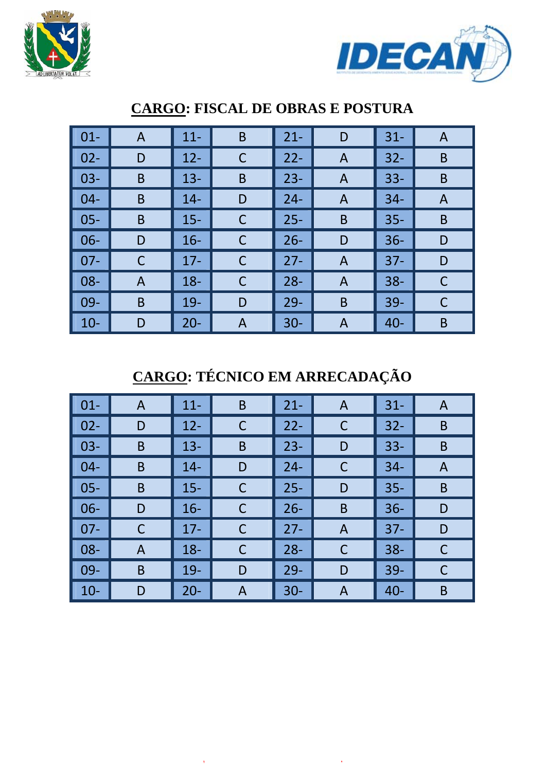



| $01 -$ | $\mathsf{A}$ | $11 -$ | B           | $21 -$ | D              | $31 -$ | A            |
|--------|--------------|--------|-------------|--------|----------------|--------|--------------|
| $02 -$ | D            | $12 -$ | $\mathsf C$ | $22 -$ | $\overline{A}$ | $32 -$ | B            |
| $03 -$ | B            | $13 -$ | B           | $23 -$ | A              | $33 -$ | B            |
| $04 -$ | B            | $14-$  | D           | $24 -$ | $\mathsf{A}$   | $34 -$ | $\mathsf{A}$ |
| $05 -$ | B            | $15 -$ | C           | $25 -$ | B              | $35 -$ | B            |
| $06 -$ | D            | $16 -$ | C           | $26 -$ | D              | $36 -$ | D            |
| $07 -$ | С            | $17 -$ | $\mathsf C$ | $27 -$ | $\overline{A}$ | $37 -$ | D            |
| 08-    | A            | $18 -$ | C           | $28 -$ | A              | $38 -$ | C            |
| 09-    | B            | $19-$  | D           | $29 -$ | B              | $39-$  | С            |
| $10-$  | D            | $20 -$ | A           | $30 -$ | Α              | $40 -$ | B            |

### **CARGO: FISCAL DE OBRAS E POSTURA**

## **CARGO: TÉCNICO EM ARRECADAÇÃO**

| $\vert$ 01- | A | $11 -$ | B | $21 -$ | A | $31 -$ | A |
|-------------|---|--------|---|--------|---|--------|---|
| $02 -$      | D | $12 -$ | C | $22 -$ | C | $32 -$ | B |
| $03-$       | B | $13 -$ | B | $23 -$ | D | $33 -$ | B |
| $04 -$      | B | $14 -$ | D | $24 -$ | C | $34 -$ | A |
| $05 -$      | B | $15 -$ | C | $25 -$ | D | $35 -$ | B |
| $06 -$      | D | $16 -$ | C | $26 -$ | B | $36 -$ | D |
| $07 -$      | C | $17 -$ | С | $27 -$ | A | $37 -$ | D |
| $08 -$      | A | $18 -$ | C | $28 -$ | C | $38 -$ | C |
| $09-$       | B | $19-$  | D | $29 -$ | D | $39 -$ | С |
| $10-$       | D | $20 -$ | A | $30 -$ | A | $40 -$ | B |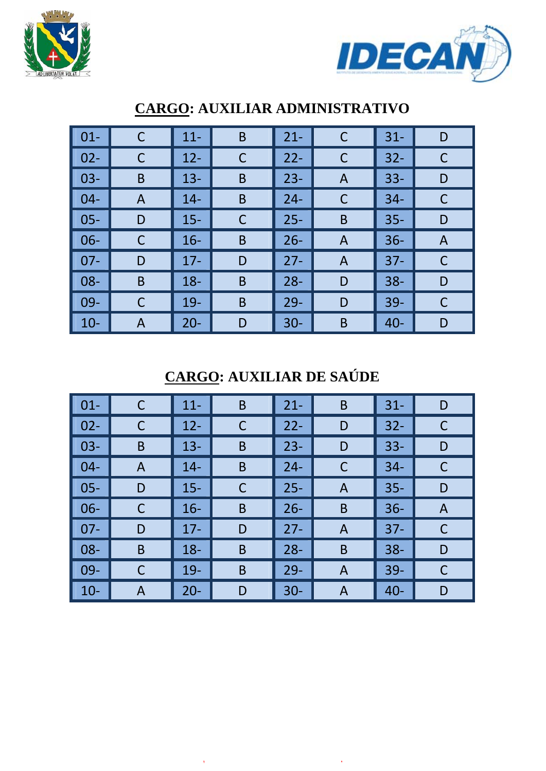



| $01 -$ | C | $11 -$ | $\mathsf B$ | $21 -$ | C              | $31 -$ | D |
|--------|---|--------|-------------|--------|----------------|--------|---|
| $02 -$ | C | $12 -$ | C           | $22 -$ | C              | $32 -$ | C |
| $03 -$ | B | $13 -$ | B           | $23 -$ | A              | $33 -$ | D |
| $04 -$ | A | $14 -$ | B           | $24 -$ | C              | $34 -$ |   |
| $05 -$ | D | $15 -$ | C           | $25 -$ | B              | $35 -$ | D |
| $06 -$ | C | $16 -$ | B           | $26 -$ | $\overline{A}$ | $36 -$ | A |
| $07 -$ | D | $17 -$ | D           | $27 -$ | A              | $37 -$ | C |
| 08-    | B | $18 -$ | B           | $28 -$ | D              | $38 -$ | D |
| 09-    | C | $19-$  | B           | $29 -$ | D              | $39 -$ | C |
| $10 -$ | Α | $20 -$ | D           | $30 -$ | B              | $40 -$ | D |

### **CARGO: AUXILIAR ADMINISTRATIVO**

## **CARGO: AUXILIAR DE SAÚDE**

| $\vert$ 01-        | С | $11 -$ | B | $21 -$ | B | $31 -$ | D |
|--------------------|---|--------|---|--------|---|--------|---|
| $\vert$ 02-        |   | $12 -$ | C | $22 -$ | D | $32 -$ | С |
| $\vert$ 03-        | B | $13 -$ | B | $23 -$ | D | $33 -$ | D |
| $\blacksquare$ 04- | A | $14 -$ | B | $24 -$ | C | $34 -$ | С |
| $\vert$ 05-        | D | $15 -$ | C | $25 -$ | A | $35 -$ | D |
| $\vert$ 06-        |   | $16 -$ | B | $26 -$ | B | $36 -$ | A |
| $\blacksquare$ 07- | D | $17 -$ | D | $27 -$ | Α | $37 -$ |   |
| $\vert$ 08-        | B | $18 -$ | B | $28 -$ | B | $38 -$ | D |
| $\vert$ 09-        | С | $19-$  | B | $29 -$ | A | $39 -$ | C |
| $\vert$ 10-        | A | $20 -$ | D | $30 -$ | A | $40 -$ | D |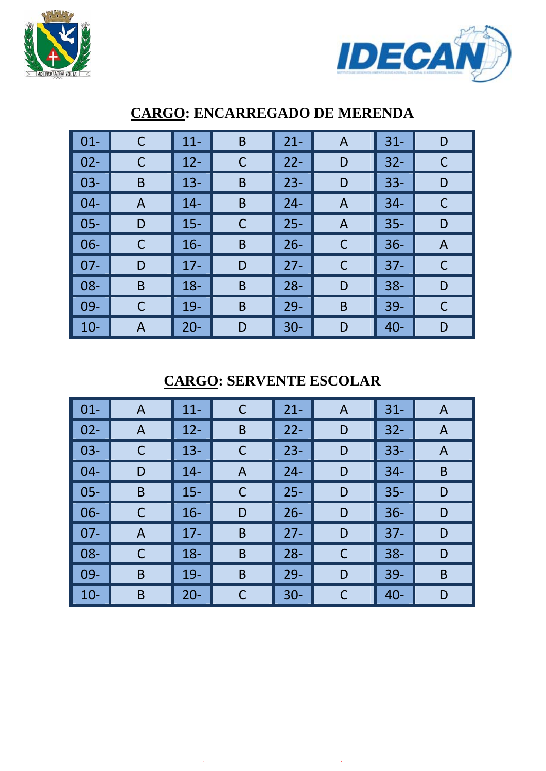



| $\vert$ 01- |   | $11 -$ | B | $21 -$ | A | $31 -$ | D |
|-------------|---|--------|---|--------|---|--------|---|
| $\vert$ 02- | C | $12 -$ | C | $22 -$ | D | $32 -$ | С |
| $\vert$ 03- | B | $13 -$ | B | $23 -$ | D | $33 -$ | D |
| $\vert$ 04- | A | $14 -$ | B | $24 -$ | A | $34 -$ |   |
| $\vert$ 05- | D | $15 -$ | С | $25 -$ | Α | $35 -$ | D |
| $\vert$ 06- |   | $16-$  | B | $26 -$ | C | $36 -$ | A |
| $\vert$ 07- | D | $17 -$ | D | $27 -$ | C | $37 -$ |   |
| $\vert$ 08- | B | $18 -$ | B | $28 -$ | D | $38 -$ | D |
| $\vert$ 09- |   | $19-$  | B | $29-$  | B | $39-$  | C |
| $\vert$ 10- | A | $20 -$ | D | $30 -$ | D | $40 -$ | D |

#### **CARGO: ENCARREGADO DE MERENDA**

**CARGO: SERVENTE ESCOLAR** 

| $\vert$ 01- | $\mathsf{A}$ | $11 -$ | $\mathsf C$ | $21 -$ | A | $31 -$ | A |
|-------------|--------------|--------|-------------|--------|---|--------|---|
| $\vert$ 02- | A            | $12 -$ | B           | $22 -$ | D | $32 -$ | A |
| $\vert$ 03- |              | $13 -$ | C           | $23 -$ | D | $33 -$ | A |
| $\vert$ 04- | D            | $14 -$ | A           | $24 -$ | D | $34 -$ | B |
| $\vert$ 05- | B            | $15 -$ | C           | $25 -$ | D | $35 -$ | D |
| $\vert$ 06- | С            | $16 -$ | D           | $26 -$ | D | $36 -$ | D |
| $\vert$ 07- | A            | $17 -$ | B           | $27 -$ | D | $37 -$ | D |
| $\vert$ 08- | C            | $18 -$ | B           | $28 -$ | C | $38 -$ | D |
| $\vert$ 09- | B            | $19 -$ | B           | $29 -$ | D | $39 -$ | B |
| $\vert$ 10- | B            | $20 -$ | C           | $30 -$ | C | $40 -$ | D |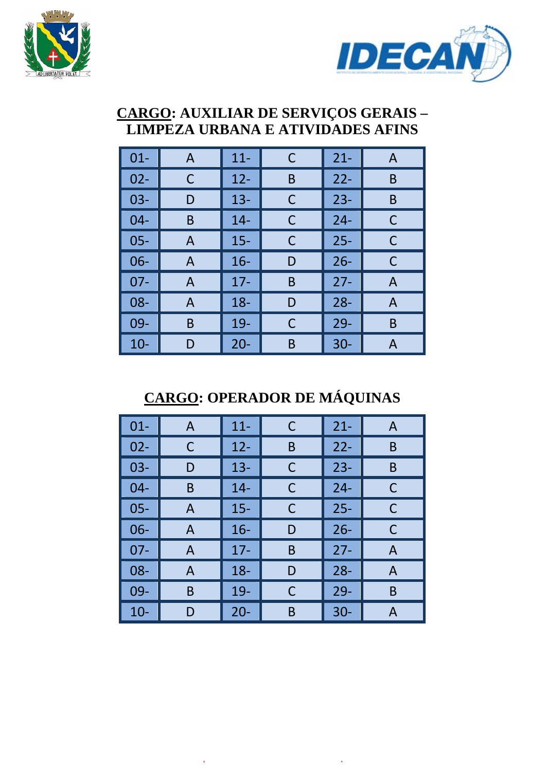



#### **CARGO: AUXILIAR DE SERVIÇOS GERAIS – LIMPEZA URBANA E ATIVIDADES AFINS**

| $01 -$ | A | $11 -$ | C | $21 -$ | A |
|--------|---|--------|---|--------|---|
| $02 -$ | С | $12 -$ | B | $22 -$ | B |
| $03 -$ | D | $13 -$ | С | $23 -$ | B |
| $04 -$ | B | $14 -$ | С | $24 -$ | C |
| $05 -$ | A | $15 -$ | С | $25 -$ | C |
| $06 -$ | A | $16 -$ | D | $26 -$ | C |
| $07 -$ | A | $17 -$ | B | $27 -$ | A |
| 08-    | A | $18 -$ | D | $28 -$ | A |
| 09-    | B | $19-$  | С | $29 -$ | B |
| $10-$  | D | $20 -$ | Β | $30 -$ | А |

## **CARGO: OPERADOR DE MÁQUINAS**

| $01 -$ | A            | $11 -$ | С | $21 -$ | A |
|--------|--------------|--------|---|--------|---|
| $02 -$ | С            | $12 -$ | B | $22 -$ | B |
| $03 -$ | D            | $13 -$ | C | $23 -$ | B |
| $04 -$ | B            | $14 -$ | C | $24 -$ | C |
| $05 -$ | A            | $15 -$ | C | $25 -$ | C |
| $06 -$ | $\mathsf{A}$ | $16 -$ | D | $26 -$ | С |
| $07 -$ | A            | $17-$  | B | $27 -$ | A |
| $08 -$ | A            | $18 -$ | D | $28 -$ | A |
| 09-    | Β            | 19-    | C | $29 -$ | B |
| $10 -$ | D            | $20 -$ | B | $30 -$ | А |